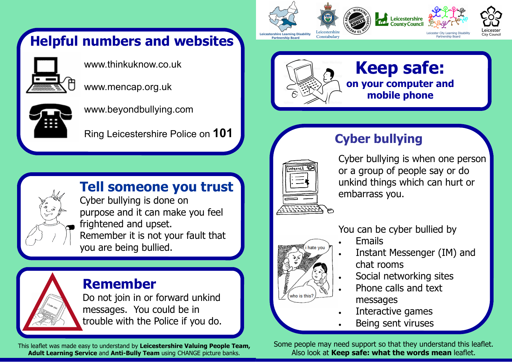# Helpful numbers and websites



www.thinkuknow.co.uk

www.mencap.org.uk



www.beyondbullying.com

Ring Leicestershire Police on 101



## Tell someone you trust

Cyber bullying is done on purpose and it can make you feel frightened and upset. Remember it is not your fault that you are being bullied.



## Remember

 Do not join in or forward unkind messages. You could be in trouble with the Police if you do.

This leaflet was made easy to understand by Leicestershire Valuing People Team, Adult Learning Service and Anti-Bully Team using CHANGE picture banks.





# Cyber bullying



Cyber bullying is when one person or a group of people say or do unkind things which can hurt or embarrass you.



- Emails
- Instant Messenger (IM) and chat rooms
- Social networking sites
- Phone calls and text messages
- Interactive games
- Being sent viruses

Some people may need support so that they understand this leaflet. Also look at Keep safe: what the words mean leaflet.